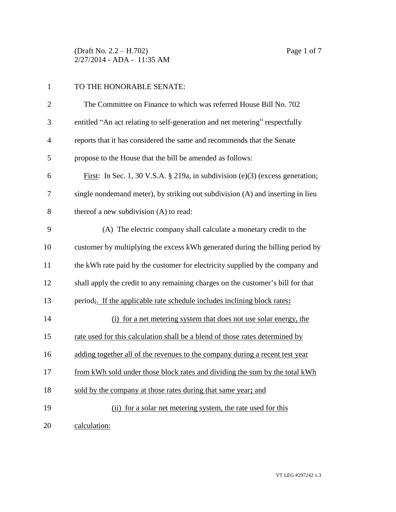(Draft No. 2.2 – H.702) Page 1 of 7 2/27/2014 - ADA - 11:35 AM

## TO THE HONORABLE SENATE:

| $\overline{2}$ | The Committee on Finance to which was referred House Bill No. 702               |  |  |
|----------------|---------------------------------------------------------------------------------|--|--|
| 3              | entitled "An act relating to self-generation and net metering" respectfully     |  |  |
| $\overline{4}$ | reports that it has considered the same and recommends that the Senate          |  |  |
| 5              | propose to the House that the bill be amended as follows:                       |  |  |
| 6              | First: In Sec. 1, 30 V.S.A. § 219a, in subdivision (e)(3) (excess generation;   |  |  |
| 7              | single nondemand meter), by striking out subdivision (A) and inserting in lieu  |  |  |
| 8              | thereof a new subdivision (A) to read:                                          |  |  |
| 9              | (A) The electric company shall calculate a monetary credit to the               |  |  |
| 10             | customer by multiplying the excess kWh generated during the billing period by   |  |  |
| 11             | the kWh rate paid by the customer for electricity supplied by the company and   |  |  |
| 12             | shall apply the credit to any remaining charges on the customer's bill for that |  |  |
| 13             | period; If the applicable rate schedule includes inclining block rates:         |  |  |
| 14             | (i) for a net metering system that does not use solar energy, the               |  |  |
| 15             | rate used for this calculation shall be a blend of those rates determined by    |  |  |
| 16             | adding together all of the revenues to the company during a recent test year    |  |  |
| 17             | from kWh sold under those block rates and dividing the sum by the total kWh     |  |  |
| 18             | sold by the company at those rates during that same year; and                   |  |  |
| 19             | (ii) for a solar net metering system, the rate used for this                    |  |  |
| 20             | calculation:                                                                    |  |  |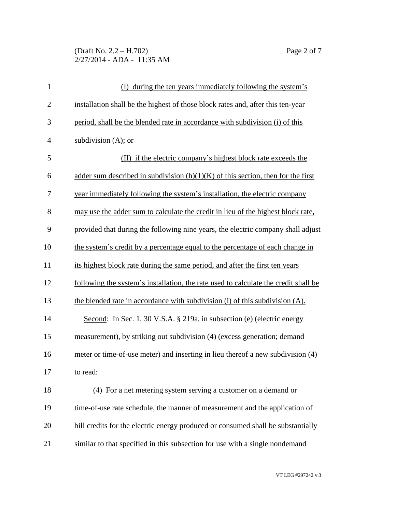## (Draft No. 2.2 – H.702) Page 2 of 7 2/27/2014 - ADA - 11:35 AM

| $\mathbf{1}$   | (I) during the ten years immediately following the system's                         |  |  |
|----------------|-------------------------------------------------------------------------------------|--|--|
| $\mathbf{2}$   | installation shall be the highest of those block rates and, after this ten-year     |  |  |
| 3              | period, shall be the blended rate in accordance with subdivision (i) of this        |  |  |
| $\overline{4}$ | subdivision $(A)$ ; or                                                              |  |  |
| 5              | (II) if the electric company's highest block rate exceeds the                       |  |  |
| 6              | adder sum described in subdivision $(h)(1)(K)$ of this section, then for the first  |  |  |
| 7              | year immediately following the system's installation, the electric company          |  |  |
| 8              | may use the adder sum to calculate the credit in lieu of the highest block rate,    |  |  |
| 9              | provided that during the following nine years, the electric company shall adjust    |  |  |
| 10             | the system's credit by a percentage equal to the percentage of each change in       |  |  |
| 11             | its highest block rate during the same period, and after the first ten years        |  |  |
| 12             | following the system's installation, the rate used to calculate the credit shall be |  |  |
| 13             | the blended rate in accordance with subdivision (i) of this subdivision (A).        |  |  |
| 14             | Second: In Sec. 1, 30 V.S.A. § 219a, in subsection (e) (electric energy             |  |  |
| 15             | measurement), by striking out subdivision (4) (excess generation; demand            |  |  |
| 16             | meter or time-of-use meter) and inserting in lieu thereof a new subdivision (4)     |  |  |
| 17             | to read:                                                                            |  |  |
| 18             | (4) For a net metering system serving a customer on a demand or                     |  |  |
| 19             | time-of-use rate schedule, the manner of measurement and the application of         |  |  |
| 20             | bill credits for the electric energy produced or consumed shall be substantially    |  |  |
| 21             | similar to that specified in this subsection for use with a single nondemand        |  |  |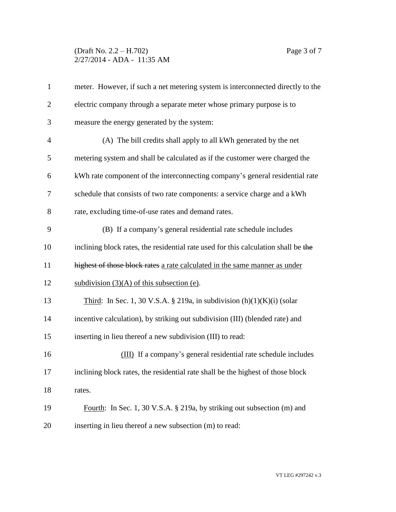## (Draft No. 2.2 – H.702) Page 3 of 7 2/27/2014 - ADA - 11:35 AM

| $\mathbf{1}$   | meter. However, if such a net metering system is interconnected directly to the    |  |  |  |
|----------------|------------------------------------------------------------------------------------|--|--|--|
| $\overline{2}$ | electric company through a separate meter whose primary purpose is to              |  |  |  |
| 3              | measure the energy generated by the system:                                        |  |  |  |
| $\overline{4}$ | (A) The bill credits shall apply to all kWh generated by the net                   |  |  |  |
| 5              | metering system and shall be calculated as if the customer were charged the        |  |  |  |
| 6              | kWh rate component of the interconnecting company's general residential rate       |  |  |  |
| 7              | schedule that consists of two rate components: a service charge and a kWh          |  |  |  |
| 8              | rate, excluding time-of-use rates and demand rates.                                |  |  |  |
| 9              | (B) If a company's general residential rate schedule includes                      |  |  |  |
| 10             | inclining block rates, the residential rate used for this calculation shall be the |  |  |  |
| 11             | highest of those block rates a rate calculated in the same manner as under         |  |  |  |
| 12             | subdivision $(3)(A)$ of this subsection (e).                                       |  |  |  |
| 13             | Third: In Sec. 1, 30 V.S.A. § 219a, in subdivision $(h)(1)(K)(i)$ (solar           |  |  |  |
| 14             | incentive calculation), by striking out subdivision (III) (blended rate) and       |  |  |  |
| 15             | inserting in lieu thereof a new subdivision (III) to read:                         |  |  |  |
| 16             | (III) If a company's general residential rate schedule includes                    |  |  |  |
| 17             | inclining block rates, the residential rate shall be the highest of those block    |  |  |  |
| 18             | rates.                                                                             |  |  |  |
| 19             | Fourth: In Sec. 1, 30 V.S.A. § 219a, by striking out subsection (m) and            |  |  |  |
| 20             | inserting in lieu thereof a new subsection (m) to read:                            |  |  |  |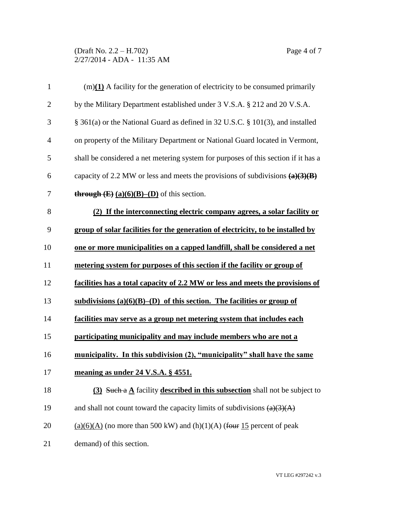(Draft No. 2.2 – H.702) Page 4 of 7 2/27/2014 - ADA - 11:35 AM

| $\mathbf{1}$   | $(m)(1)$ A facility for the generation of electricity to be consumed primarily         |  |  |  |
|----------------|----------------------------------------------------------------------------------------|--|--|--|
| $\overline{2}$ | by the Military Department established under 3 V.S.A. § 212 and 20 V.S.A.              |  |  |  |
| 3              | § 361(a) or the National Guard as defined in 32 U.S.C. § 101(3), and installed         |  |  |  |
| $\overline{4}$ | on property of the Military Department or National Guard located in Vermont,           |  |  |  |
| 5              | shall be considered a net metering system for purposes of this section if it has a     |  |  |  |
| 6              | capacity of 2.2 MW or less and meets the provisions of subdivisions $(a)(3)(B)$        |  |  |  |
| 7              | <b>through <math>(E)</math></b> $(a)(6)(B)$ – $(D)$ of this section.                   |  |  |  |
| 8              | (2) If the interconnecting electric company agrees, a solar facility or                |  |  |  |
| 9              | group of solar facilities for the generation of electricity, to be installed by        |  |  |  |
| 10             | one or more municipalities on a capped landfill, shall be considered a net             |  |  |  |
| 11             | metering system for purposes of this section if the facility or group of               |  |  |  |
| 12             | facilities has a total capacity of 2.2 MW or less and meets the provisions of          |  |  |  |
| 13             | subdivisions $(a)(6)(B)$ –(D) of this section. The facilities or group of              |  |  |  |
| 14             | facilities may serve as a group net metering system that includes each                 |  |  |  |
| 15             | participating municipality and may include members who are not a                       |  |  |  |
| 16             | municipality. In this subdivision (2), "municipality" shall have the same              |  |  |  |
| 17             | meaning as under 24 V.S.A. § 4551.                                                     |  |  |  |
| 18             | $(3)$ Such a $\triangle$ facility described in this subsection shall not be subject to |  |  |  |
| 19             | and shall not count toward the capacity limits of subdivisions $(a)(3)(A)$             |  |  |  |
| 20             | $(a)(6)(A)$ (no more than 500 kW) and (h)(1)(A) (four 15 percent of peak               |  |  |  |
| 21             | demand) of this section.                                                               |  |  |  |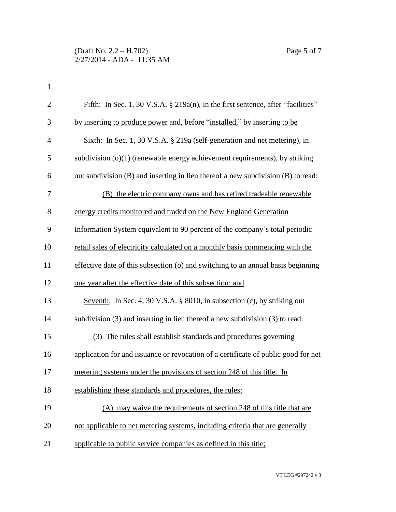| $\mathbf{2}$   | Fifth: In Sec. 1, 30 V.S.A. § 219a(n), in the first sentence, after "facilities"   |  |  |
|----------------|------------------------------------------------------------------------------------|--|--|
| 3              | by inserting to produce power and, before "installed," by inserting to be          |  |  |
| $\overline{4}$ | Sixth: In Sec. 1, 30 V.S.A. § 219a (self-generation and net metering), in          |  |  |
| 5              | subdivision $(o)(1)$ (renewable energy achievement requirements), by striking      |  |  |
| 6              | out subdivision (B) and inserting in lieu thereof a new subdivision (B) to read:   |  |  |
| 7              | (B) the electric company owns and has retired tradeable renewable                  |  |  |
| 8              | energy credits monitored and traded on the New England Generation                  |  |  |
| 9              | Information System equivalent to 90 percent of the company's total periodic        |  |  |
| 10             | retail sales of electricity calculated on a monthly basis commencing with the      |  |  |
| 11             | effective date of this subsection (o) and switching to an annual basis beginning   |  |  |
| 12             | one year after the effective date of this subsection; and                          |  |  |
| 13             | Seventh: In Sec. 4, 30 V.S.A. § 8010, in subsection (c), by striking out           |  |  |
| 14             | subdivision (3) and inserting in lieu thereof a new subdivision (3) to read:       |  |  |
| 15             | (3) The rules shall establish standards and procedures governing                   |  |  |
| 16             | application for and issuance or revocation of a certificate of public good for net |  |  |
| 17             | metering systems under the provisions of section 248 of this title. In             |  |  |
| 18             | establishing these standards and procedures, the rules:                            |  |  |
| 19             | (A) may waive the requirements of section 248 of this title that are               |  |  |
| 20             | not applicable to net metering systems, including criteria that are generally      |  |  |
| 21             | applicable to public service companies as defined in this title;                   |  |  |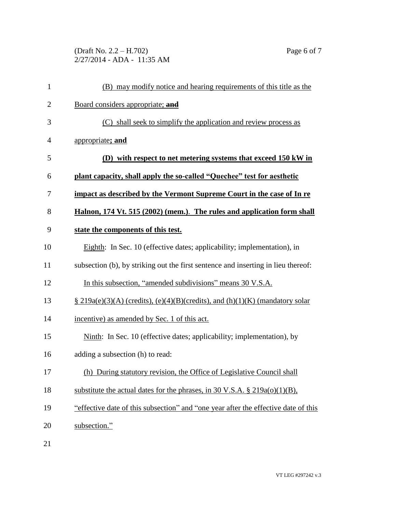(Draft No. 2.2 – H.702) Page 6 of 7 2/27/2014 - ADA - 11:35 AM

| $\mathbf{1}$   | (B) may modify notice and hearing requirements of this title as the                |  |
|----------------|------------------------------------------------------------------------------------|--|
| $\overline{2}$ | Board considers appropriate; and                                                   |  |
| 3              | (C) shall seek to simplify the application and review process as                   |  |
| 4              | appropriate; and                                                                   |  |
| 5              | (D) with respect to net metering systems that exceed 150 kW in                     |  |
| 6              | plant capacity, shall apply the so-called "Quechee" test for aesthetic             |  |
| 7              | impact as described by the Vermont Supreme Court in the case of In re              |  |
| 8              | Halnon, 174 Vt. 515 (2002) (mem.). The rules and application form shall            |  |
| 9              | state the components of this test.                                                 |  |
| 10             | Eighth: In Sec. 10 (effective dates; applicability; implementation), in            |  |
| 11             | subsection (b), by striking out the first sentence and inserting in lieu thereof:  |  |
| 12             | In this subsection, "amended subdivisions" means 30 V.S.A.                         |  |
| 13             | $\S$ 219a(e)(3)(A) (credits), (e)(4)(B)(credits), and (h)(1)(K) (mandatory solar   |  |
| 14             | incentive) as amended by Sec. 1 of this act.                                       |  |
| 15             | Ninth: In Sec. 10 (effective dates; applicability; implementation), by             |  |
| 16             | adding a subsection (h) to read:                                                   |  |
| 17             | (h) During statutory revision, the Office of Legislative Council shall             |  |
| 18             | substitute the actual dates for the phrases, in 30 V.S.A. $\S 219a(o)(1)(B)$ ,     |  |
| 19             | "effective date of this subsection" and "one year after the effective date of this |  |
| 20             | subsection."                                                                       |  |

21